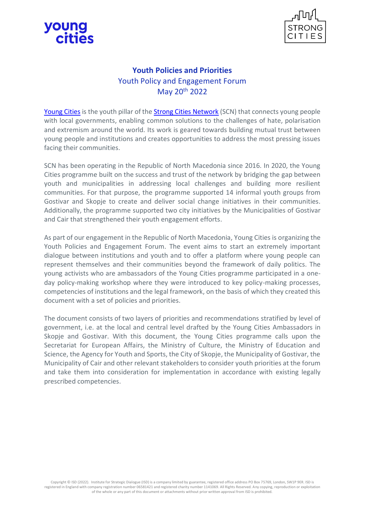



## **Youth Policies and Priorities** Youth Policy and Engagement Forum May 20th 2022

[Young Cities](https://youngcities.com/) is the youth pillar of the [Strong Cities Network](https://strongcitiesnetwork.org/en/) (SCN) that connects young people with local governments, enabling common solutions to the challenges of hate, polarisation and extremism around the world. Its work is geared towards building mutual trust between young people and institutions and creates opportunities to address the most pressing issues facing their communities.

SCN has been operating in the Republic of North Macedonia since 2016. In 2020, the Young Cities programme built on the success and trust of the network by bridging the gap between youth and municipalities in addressing local challenges and building more resilient communities. For that purpose, the programme supported 14 informal youth groups from Gostivar and Skopje to create and deliver social change initiatives in their communities. Additionally, the programme supported two city initiatives by the Municipalities of Gostivar and Cair that strengthened their youth engagement efforts.

As part of our engagement in the Republic of North Macedonia, Young Cities is organizing the Youth Policies and Engagement Forum. The event aims to start an extremely important dialogue between institutions and youth and to offer a platform where young people can represent themselves and their communities beyond the framework of daily politics. The young activists who are ambassadors of the Young Cities programme participated in a oneday policy-making workshop where they were introduced to key policy-making processes, competencies of institutions and the legal framework, on the basis of which they created this document with a set of policies and priorities.

The document consists of two layers of priorities and recommendations stratified by level of government, i.e. at the local and central level drafted by the Young Cities Ambassadors in Skopje and Gostivar. With this document, the Young Cities programme calls upon the Secretariat for European Affairs, the Ministry of Culture, the Ministry of Education and Science, the Agency for Youth and Sports, the City of Skopje, the Municipality of Gostivar, the Municipality of Cair and other relevant stakeholders to consider youth priorities at the forum and take them into consideration for implementation in accordance with existing legally prescribed competencies.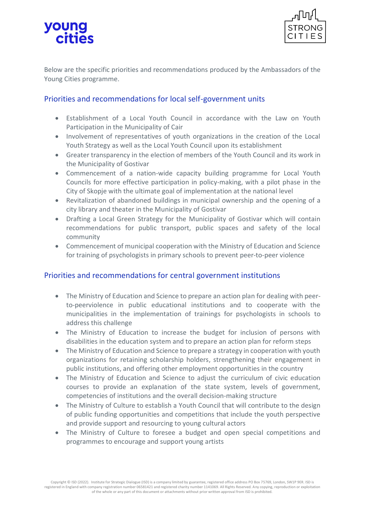## young cities



Below are the specific priorities and recommendations produced by the Ambassadors of the Young Cities programme.

## Priorities and recommendations for local self-government units

- Establishment of a Local Youth Council in accordance with the Law on Youth Participation in the Municipality of Cair
- Involvement of representatives of youth organizations in the creation of the Local Youth Strategy as well as the Local Youth Council upon its establishment
- Greater transparency in the election of members of the Youth Council and its work in the Municipality of Gostivar
- Commencement of a nation-wide capacity building programme for Local Youth Councils for more effective participation in policy-making, with a pilot phase in the City of Skopje with the ultimate goal of implementation at the national level
- Revitalization of abandoned buildings in municipal ownership and the opening of a city library and theater in the Municipality of Gostivar
- Drafting a Local Green Strategy for the Municipality of Gostivar which will contain recommendations for public transport, public spaces and safety of the local community
- Commencement of municipal cooperation with the Ministry of Education and Science for training of psychologists in primary schools to prevent peer-to-peer violence

## Priorities and recommendations for central government institutions

- The Ministry of Education and Science to prepare an action plan for dealing with peerto-peerviolence in public educational institutions and to cooperate with the municipalities in the implementation of trainings for psychologists in schools to address this challenge
- The Ministry of Education to increase the budget for inclusion of persons with disabilities in the education system and to prepare an action plan for reform steps
- The Ministry of Education and Science to prepare a strategy in cooperation with youth organizations for retaining scholarship holders, strengthening their engagement in public institutions, and offering other employment opportunities in the country
- The Ministry of Education and Science to adjust the curriculum of civic education courses to provide an explanation of the state system, levels of government, competencies of institutions and the overall decision-making structure
- The Ministry of Culture to establish a Youth Council that will contribute to the design of public funding opportunities and competitions that include the youth perspective and provide support and resourcing to young cultural actors
- The Ministry of Culture to foresee a budget and open special competitions and programmes to encourage and support young artists